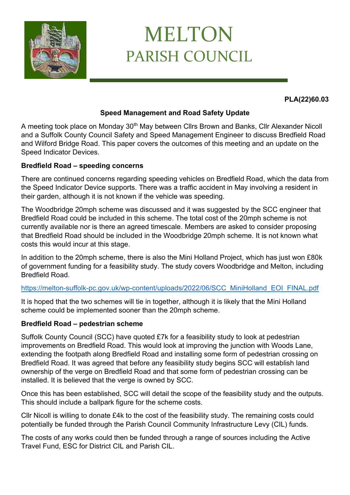

# MELTON PARISH COUNCIL

**PLA(22)60.03**

## **Speed Management and Road Safety Update**

A meeting took place on Monday 30<sup>th</sup> May between CIIrs Brown and Banks, CIIr Alexander Nicoll and a Suffolk County Council Safety and Speed Management Engineer to discuss Bredfield Road and Wilford Bridge Road. This paper covers the outcomes of this meeting and an update on the Speed Indicator Devices.

### **Bredfield Road – speeding concerns**

There are continued concerns regarding speeding vehicles on Bredfield Road, which the data from the Speed Indicator Device supports. There was a traffic accident in May involving a resident in their garden, although it is not known if the vehicle was speeding.

The Woodbridge 20mph scheme was discussed and it was suggested by the SCC engineer that Bredfield Road could be included in this scheme. The total cost of the 20mph scheme is not currently available nor is there an agreed timescale. Members are asked to consider proposing that Bredfield Road should be included in the Woodbridge 20mph scheme. It is not known what costs this would incur at this stage.

In addition to the 20mph scheme, there is also the Mini Holland Project, which has just won £80k of government funding for a feasibility study. The study covers Woodbridge and Melton, including Bredfield Road.

## [https://melton-suffolk-pc.gov.uk/wp-content/uploads/2022/06/SCC\\_MiniHolland\\_EOI\\_FINAL.pdf](https://melton-suffolk-pc.gov.uk/wp-content/uploads/2022/06/SCC_MiniHolland_EOI_FINAL.pdf)

It is hoped that the two schemes will tie in together, although it is likely that the Mini Holland scheme could be implemented sooner than the 20mph scheme.

#### **Bredfield Road – pedestrian scheme**

Suffolk County Council (SCC) have quoted £7k for a feasibility study to look at pedestrian improvements on Bredfield Road. This would look at improving the junction with Woods Lane, extending the footpath along Bredfield Road and installing some form of pedestrian crossing on Bredfield Road. It was agreed that before any feasibility study begins SCC will establish land ownership of the verge on Bredfield Road and that some form of pedestrian crossing can be installed. It is believed that the verge is owned by SCC.

Once this has been established, SCC will detail the scope of the feasibility study and the outputs. This should include a ballpark figure for the scheme costs.

Cllr Nicoll is willing to donate £4k to the cost of the feasibility study. The remaining costs could potentially be funded through the Parish Council Community Infrastructure Levy (CIL) funds.

The costs of any works could then be funded through a range of sources including the Active Travel Fund, ESC for District CIL and Parish CIL.